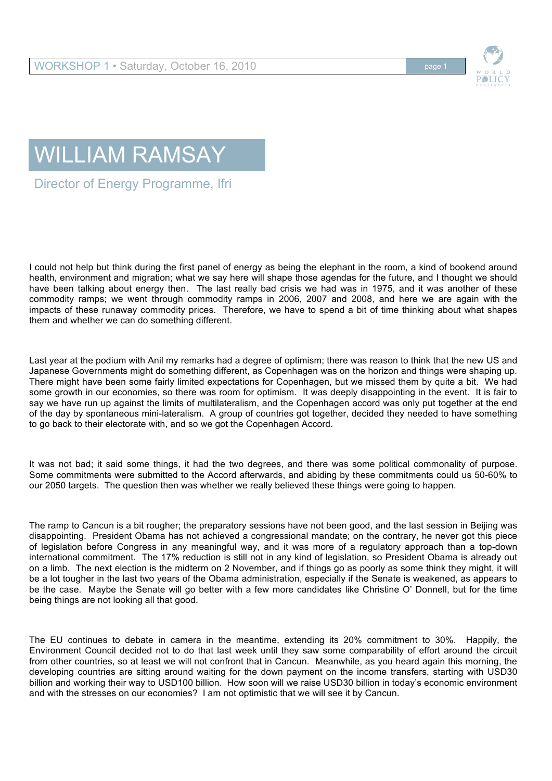

## WILLIAM RAMSAY

Director of Energy Programme, Ifri

I could not help but think during the first panel of energy as being the elephant in the room, a kind of bookend around health, environment and migration; what we say here will shape those agendas for the future, and I thought we should have been talking about energy then. The last really bad crisis we had was in 1975, and it was another of these commodity ramps; we went through commodity ramps in 2006, 2007 and 2008, and here we are again with the impacts of these runaway commodity prices. Therefore, we have to spend a bit of time thinking about what shapes them and whether we can do something different.

Last year at the podium with Anil my remarks had a degree of optimism; there was reason to think that the new US and Japanese Governments might do something different, as Copenhagen was on the horizon and things were shaping up. There might have been some fairly limited expectations for Copenhagen, but we missed them by quite a bit. We had some growth in our economies, so there was room for optimism. It was deeply disappointing in the event. It is fair to say we have run up against the limits of multilateralism, and the Copenhagen accord was only put together at the end of the day by spontaneous mini-lateralism. A group of countries got together, decided they needed to have something to go back to their electorate with, and so we got the Copenhagen Accord.

It was not bad; it said some things, it had the two degrees, and there was some political commonality of purpose. Some commitments were submitted to the Accord afterwards, and abiding by these commitments could us 50-60% to our 2050 targets. The question then was whether we really believed these things were going to happen.

The ramp to Cancun is a bit rougher; the preparatory sessions have not been good, and the last session in Beijing was disappointing. President Obama has not achieved a congressional mandate; on the contrary, he never got this piece of legislation before Congress in any meaningful way, and it was more of a regulatory approach than a top-down international commitment. The 17% reduction is still not in any kind of legislation, so President Obama is already out on a limb. The next election is the midterm on 2 November, and if things go as poorly as some think they might, it will be a lot tougher in the last two years of the Obama administration, especially if the Senate is weakened, as appears to be the case. Maybe the Senate will go better with a few more candidates like Christine O' Donnell, but for the time being things are not looking all that good.

The EU continues to debate in camera in the meantime, extending its 20% commitment to 30%. Happily, the Environment Council decided not to do that last week until they saw some comparability of effort around the circuit from other countries, so at least we will not confront that in Cancun. Meanwhile, as you heard again this morning, the developing countries are sitting around waiting for the down payment on the income transfers, starting with USD30 billion and working their way to USD100 billion. How soon will we raise USD30 billion in today's economic environment and with the stresses on our economies? I am not optimistic that we will see it by Cancun.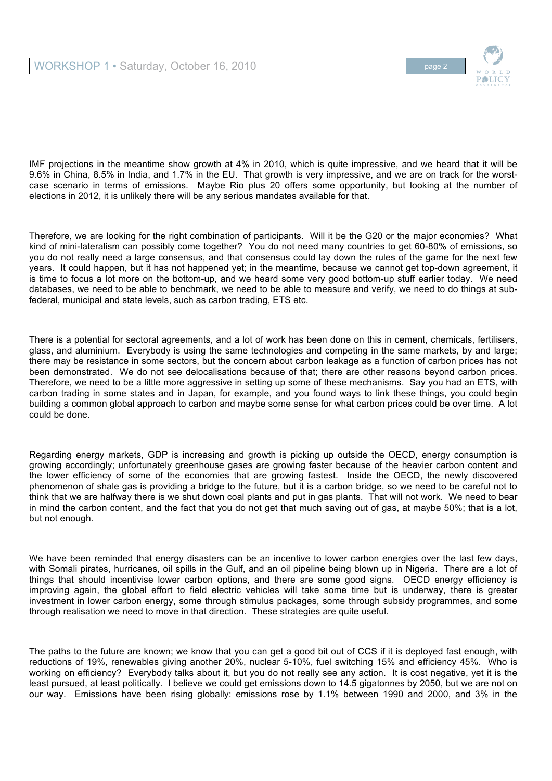



Therefore, we are looking for the right combination of participants. Will it be the G20 or the major economies? What kind of mini-lateralism can possibly come together? You do not need many countries to get 60-80% of emissions, so you do not really need a large consensus, and that consensus could lay down the rules of the game for the next few years. It could happen, but it has not happened yet; in the meantime, because we cannot get top-down agreement, it is time to focus a lot more on the bottom-up, and we heard some very good bottom-up stuff earlier today. We need databases, we need to be able to benchmark, we need to be able to measure and verify, we need to do things at subfederal, municipal and state levels, such as carbon trading, ETS etc.

There is a potential for sectoral agreements, and a lot of work has been done on this in cement, chemicals, fertilisers, glass, and aluminium. Everybody is using the same technologies and competing in the same markets, by and large; there may be resistance in some sectors, but the concern about carbon leakage as a function of carbon prices has not been demonstrated. We do not see delocalisations because of that; there are other reasons beyond carbon prices. Therefore, we need to be a little more aggressive in setting up some of these mechanisms. Say you had an ETS, with carbon trading in some states and in Japan, for example, and you found ways to link these things, you could begin building a common global approach to carbon and maybe some sense for what carbon prices could be over time. A lot could be done.

Regarding energy markets, GDP is increasing and growth is picking up outside the OECD, energy consumption is growing accordingly; unfortunately greenhouse gases are growing faster because of the heavier carbon content and the lower efficiency of some of the economies that are growing fastest. Inside the OECD, the newly discovered phenomenon of shale gas is providing a bridge to the future, but it is a carbon bridge, so we need to be careful not to think that we are halfway there is we shut down coal plants and put in gas plants. That will not work. We need to bear in mind the carbon content, and the fact that you do not get that much saving out of gas, at maybe 50%; that is a lot, but not enough.

We have been reminded that energy disasters can be an incentive to lower carbon energies over the last few days, with Somali pirates, hurricanes, oil spills in the Gulf, and an oil pipeline being blown up in Nigeria. There are a lot of things that should incentivise lower carbon options, and there are some good signs. OECD energy efficiency is improving again, the global effort to field electric vehicles will take some time but is underway, there is greater investment in lower carbon energy, some through stimulus packages, some through subsidy programmes, and some through realisation we need to move in that direction. These strategies are quite useful.

The paths to the future are known; we know that you can get a good bit out of CCS if it is deployed fast enough, with reductions of 19%, renewables giving another 20%, nuclear 5-10%, fuel switching 15% and efficiency 45%. Who is working on efficiency? Everybody talks about it, but you do not really see any action. It is cost negative, yet it is the least pursued, at least politically. I believe we could get emissions down to 14.5 gigatonnes by 2050, but we are not on our way. Emissions have been rising globally: emissions rose by 1.1% between 1990 and 2000, and 3% in the